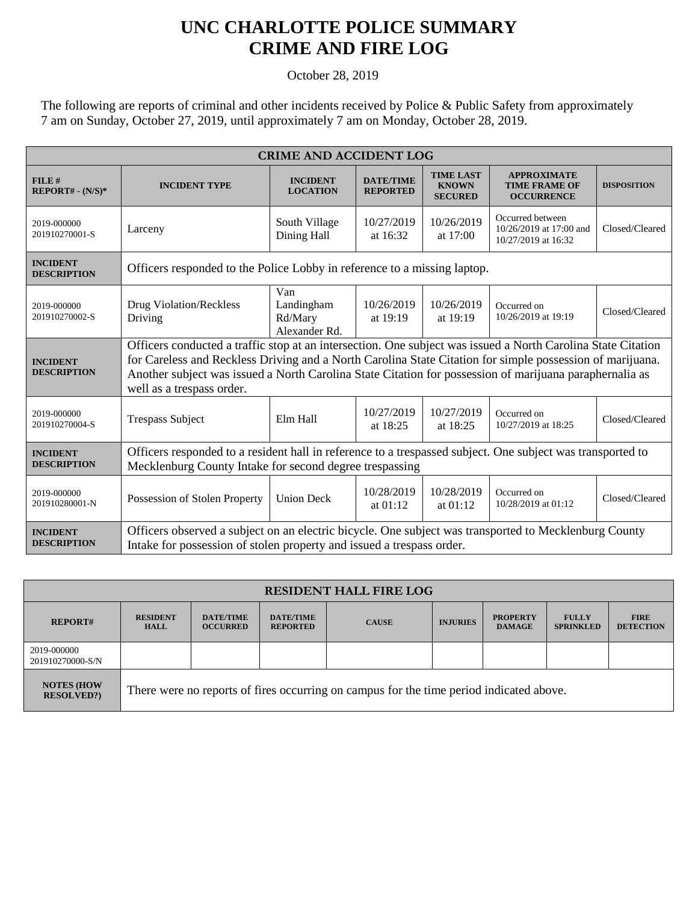## **UNC CHARLOTTE POLICE SUMMARY CRIME AND FIRE LOG**

October 28, 2019

The following are reports of criminal and other incidents received by Police & Public Safety from approximately 7 am on Sunday, October 27, 2019, until approximately 7 am on Monday, October 28, 2019.

| <b>CRIME AND ACCIDENT LOG</b>         |                                                                                                                                                                                                                                                                                                                                                                   |                                               |                                     |                                                    |                                                                    |                    |  |
|---------------------------------------|-------------------------------------------------------------------------------------------------------------------------------------------------------------------------------------------------------------------------------------------------------------------------------------------------------------------------------------------------------------------|-----------------------------------------------|-------------------------------------|----------------------------------------------------|--------------------------------------------------------------------|--------------------|--|
| FILE#<br>$REPORT# - (N/S)*$           | <b>INCIDENT TYPE</b>                                                                                                                                                                                                                                                                                                                                              | <b>INCIDENT</b><br><b>LOCATION</b>            | <b>DATE/TIME</b><br><b>REPORTED</b> | <b>TIME LAST</b><br><b>KNOWN</b><br><b>SECURED</b> | <b>APPROXIMATE</b><br><b>TIME FRAME OF</b><br><b>OCCURRENCE</b>    | <b>DISPOSITION</b> |  |
| 2019-000000<br>201910270001-S         | Larceny                                                                                                                                                                                                                                                                                                                                                           | South Village<br>Dining Hall                  | 10/27/2019<br>at 16:32              | 10/26/2019<br>at 17:00                             | Occurred between<br>10/26/2019 at 17:00 and<br>10/27/2019 at 16:32 | Closed/Cleared     |  |
| <b>INCIDENT</b><br><b>DESCRIPTION</b> | Officers responded to the Police Lobby in reference to a missing laptop.                                                                                                                                                                                                                                                                                          |                                               |                                     |                                                    |                                                                    |                    |  |
| 2019-000000<br>201910270002-S         | Drug Violation/Reckless<br>Driving                                                                                                                                                                                                                                                                                                                                | Van<br>Landingham<br>Rd/Mary<br>Alexander Rd. | 10/26/2019<br>at 19:19              | 10/26/2019<br>at 19:19                             | Occurred on<br>10/26/2019 at 19:19                                 | Closed/Cleared     |  |
| <b>INCIDENT</b><br><b>DESCRIPTION</b> | Officers conducted a traffic stop at an intersection. One subject was issued a North Carolina State Citation<br>for Careless and Reckless Driving and a North Carolina State Citation for simple possession of marijuana.<br>Another subject was issued a North Carolina State Citation for possession of marijuana paraphernalia as<br>well as a trespass order. |                                               |                                     |                                                    |                                                                    |                    |  |
| 2019-000000<br>201910270004-S         | <b>Trespass Subject</b>                                                                                                                                                                                                                                                                                                                                           | Elm Hall                                      | 10/27/2019<br>at 18:25              | 10/27/2019<br>at 18:25                             | Occurred on<br>10/27/2019 at 18:25                                 | Closed/Cleared     |  |
| <b>INCIDENT</b><br><b>DESCRIPTION</b> | Officers responded to a resident hall in reference to a trespassed subject. One subject was transported to<br>Mecklenburg County Intake for second degree trespassing                                                                                                                                                                                             |                                               |                                     |                                                    |                                                                    |                    |  |
| 2019-000000<br>201910280001-N         | Possession of Stolen Property                                                                                                                                                                                                                                                                                                                                     | <b>Union Deck</b>                             | 10/28/2019<br>at $01:12$            | 10/28/2019<br>at $01:12$                           | Occurred on<br>10/28/2019 at 01:12                                 | Closed/Cleared     |  |
| <b>INCIDENT</b><br><b>DESCRIPTION</b> | Officers observed a subject on an electric bicycle. One subject was transported to Mecklenburg County<br>Intake for possession of stolen property and issued a trespass order.                                                                                                                                                                                    |                                               |                                     |                                                    |                                                                    |                    |  |

| <b>RESIDENT HALL FIRE LOG</b>          |                                                                                         |                                     |                                     |              |                 |                                  |                                  |                                 |
|----------------------------------------|-----------------------------------------------------------------------------------------|-------------------------------------|-------------------------------------|--------------|-----------------|----------------------------------|----------------------------------|---------------------------------|
| <b>REPORT#</b>                         | <b>RESIDENT</b><br><b>HALL</b>                                                          | <b>DATE/TIME</b><br><b>OCCURRED</b> | <b>DATE/TIME</b><br><b>REPORTED</b> | <b>CAUSE</b> | <b>INJURIES</b> | <b>PROPERTY</b><br><b>DAMAGE</b> | <b>FULLY</b><br><b>SPRINKLED</b> | <b>FIRE</b><br><b>DETECTION</b> |
| 2019-000000<br>201910270000-S/N        |                                                                                         |                                     |                                     |              |                 |                                  |                                  |                                 |
| <b>NOTES (HOW)</b><br><b>RESOLVED?</b> | There were no reports of fires occurring on campus for the time period indicated above. |                                     |                                     |              |                 |                                  |                                  |                                 |